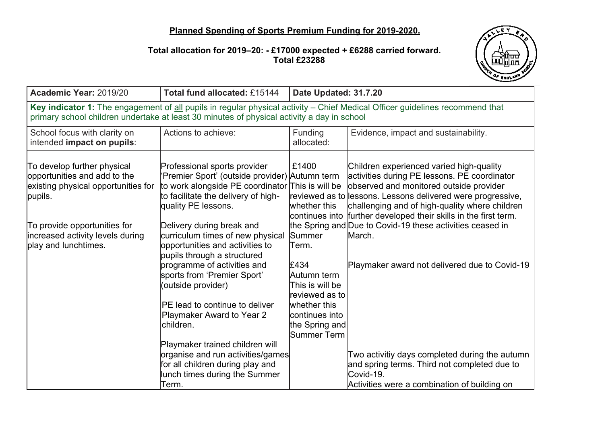## **Planned Spending of Sports Premium Funding for 2019-2020.**

## **Total allocation for 2019–20: - £17000 expected + £6288 carried forward. Total £23288**



| Academic Year: 2019/20                                                                                                                                                                                                     | Total fund allocated: £15144                                                                                                                                                                                                                                                                                                                                                                                                                                                                                                                                                                                                                     | Date Updated: 31.7.20                                                                                                                                                    |                                                                                                                                                                                                                                                                                                                                                                                                                                                                                                                                                                 |
|----------------------------------------------------------------------------------------------------------------------------------------------------------------------------------------------------------------------------|--------------------------------------------------------------------------------------------------------------------------------------------------------------------------------------------------------------------------------------------------------------------------------------------------------------------------------------------------------------------------------------------------------------------------------------------------------------------------------------------------------------------------------------------------------------------------------------------------------------------------------------------------|--------------------------------------------------------------------------------------------------------------------------------------------------------------------------|-----------------------------------------------------------------------------------------------------------------------------------------------------------------------------------------------------------------------------------------------------------------------------------------------------------------------------------------------------------------------------------------------------------------------------------------------------------------------------------------------------------------------------------------------------------------|
| Key indicator 1: The engagement of all pupils in regular physical activity - Chief Medical Officer guidelines recommend that<br>primary school children undertake at least 30 minutes of physical activity a day in school |                                                                                                                                                                                                                                                                                                                                                                                                                                                                                                                                                                                                                                                  |                                                                                                                                                                          |                                                                                                                                                                                                                                                                                                                                                                                                                                                                                                                                                                 |
| School focus with clarity on<br>intended impact on pupils:                                                                                                                                                                 | Actions to achieve:                                                                                                                                                                                                                                                                                                                                                                                                                                                                                                                                                                                                                              | Funding<br>allocated:                                                                                                                                                    | Evidence, impact and sustainability.                                                                                                                                                                                                                                                                                                                                                                                                                                                                                                                            |
| To develop further physical<br>opportunities and add to the<br>existing physical opportunities for<br>pupils.<br>To provide opportunities for<br>increased activity levels during<br>play and lunchtimes.                  | Professional sports provider<br>'Premier Sport' (outside provider) Autumn term<br>to work alongside PE coordinator This is will be<br>to facilitate the delivery of high-<br>quality PE lessons.<br>Delivery during break and<br>curriculum times of new physical<br>opportunities and activities to<br>pupils through a structured<br>programme of activities and<br>sports from 'Premier Sport'<br>(outside provider)<br>PE lead to continue to deliver<br>Playmaker Award to Year 2<br>children.<br>Playmaker trained children will<br>organise and run activities/games<br>for all children during play and<br>lunch times during the Summer | £1400<br>whether this<br>Summer<br>lTerm.<br>£434<br>Autumn term<br>This is will be<br>reviewed as to<br>whether this<br>continues into<br>the Spring and<br>Summer Term | Children experienced varied high-quality<br>activities during PE lessons. PE coordinator<br>observed and monitored outside provider<br>reviewed as to lessons. Lessons delivered were progressive,<br>challenging and of high-quality where children<br>continues into further developed their skills in the first term.<br>the Spring and Due to Covid-19 these activities ceased in<br>March.<br>Playmaker award not delivered due to Covid-19<br>Two activitiy days completed during the autumn<br>and spring terms. Third not completed due to<br>Covid-19. |
|                                                                                                                                                                                                                            | Term.                                                                                                                                                                                                                                                                                                                                                                                                                                                                                                                                                                                                                                            |                                                                                                                                                                          | Activities were a combination of building on                                                                                                                                                                                                                                                                                                                                                                                                                                                                                                                    |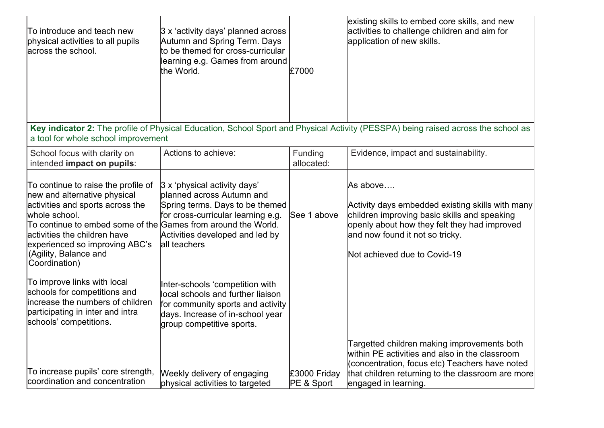| To introduce and teach new<br>physical activities to all pupils<br>across the school.                                                                                                                                                                                                                 | $ 3 x$ 'activity days' planned across<br>Autumn and Spring Term. Days<br>to be themed for cross-curricular<br>learning e.g. Games from around<br>the World.                           | £7000                      | existing skills to embed core skills, and new<br>activities to challenge children and aim for<br>application of new skills.                                                                                                     |
|-------------------------------------------------------------------------------------------------------------------------------------------------------------------------------------------------------------------------------------------------------------------------------------------------------|---------------------------------------------------------------------------------------------------------------------------------------------------------------------------------------|----------------------------|---------------------------------------------------------------------------------------------------------------------------------------------------------------------------------------------------------------------------------|
| a tool for whole school improvement                                                                                                                                                                                                                                                                   |                                                                                                                                                                                       |                            | Key indicator 2: The profile of Physical Education, School Sport and Physical Activity (PESSPA) being raised across the school as                                                                                               |
| School focus with clarity on<br>intended impact on pupils:                                                                                                                                                                                                                                            | Actions to achieve:                                                                                                                                                                   | Funding<br>allocated:      | Evidence, impact and sustainability.                                                                                                                                                                                            |
| To continue to raise the profile of<br>new and alternative physical<br>activities and sports across the<br>whole school.<br>To continue to embed some of the Games from around the World.<br>activities the children have<br>experienced so improving ABC's<br>(Agility, Balance and<br>Coordination) | 3 x 'physical activity days'<br>planned across Autumn and<br>Spring terms. Days to be themed<br>for cross-curricular learning e.g.<br>Activities developed and led by<br>all teachers | See 1 above                | As above<br>Activity days embedded existing skills with many<br>children improving basic skills and speaking<br>openly about how they felt they had improved<br>and now found it not so tricky.<br>Not achieved due to Covid-19 |
| To improve links with local<br>schools for competitions and<br>increase the numbers of children<br>participating in inter and intra<br>schools' competitions.                                                                                                                                         | Inter-schools 'competition with<br>local schools and further liaison<br>for community sports and activity<br>days. Increase of in-school year<br>group competitive sports.            |                            |                                                                                                                                                                                                                                 |
| To increase pupils' core strength,<br>coordination and concentration                                                                                                                                                                                                                                  | Weekly delivery of engaging<br>physical activities to targeted                                                                                                                        | £3000 Friday<br>PE & Sport | Targetted children making improvements both<br>within PE activities and also in the classroom<br>(concentration, focus etc) Teachers have noted<br>that children returning to the classroom are more<br>engaged in learning.    |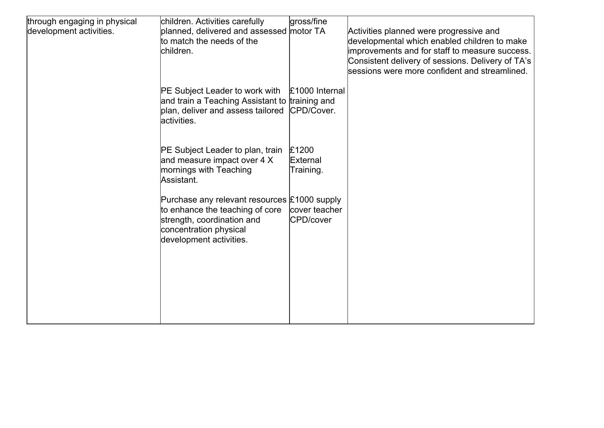| through engaging in physical<br>development activities. | children. Activities carefully<br>planned, delivered and assessed motor TA<br>to match the needs of the<br>children.                                               | gross/fine                     | Activities planned were progressive and<br>developmental which enabled children to make<br>improvements and for staff to measure success.<br>Consistent delivery of sessions. Delivery of TA's<br>sessions were more confident and streamlined. |
|---------------------------------------------------------|--------------------------------------------------------------------------------------------------------------------------------------------------------------------|--------------------------------|-------------------------------------------------------------------------------------------------------------------------------------------------------------------------------------------------------------------------------------------------|
|                                                         | PE Subject Leader to work with<br>and train a Teaching Assistant to training and<br>plan, deliver and assess tailored<br>lactivities.                              | £1000 Internal<br>CPD/Cover.   |                                                                                                                                                                                                                                                 |
|                                                         | PE Subject Leader to plan, train<br>and measure impact over 4 X<br>mornings with Teaching<br>Assistant.                                                            | £1200<br>External<br>Training. |                                                                                                                                                                                                                                                 |
|                                                         | Purchase any relevant resources £1000 supply<br>to enhance the teaching of core<br>strength, coordination and<br>concentration physical<br>development activities. | cover teacher<br>CPD/cover     |                                                                                                                                                                                                                                                 |
|                                                         |                                                                                                                                                                    |                                |                                                                                                                                                                                                                                                 |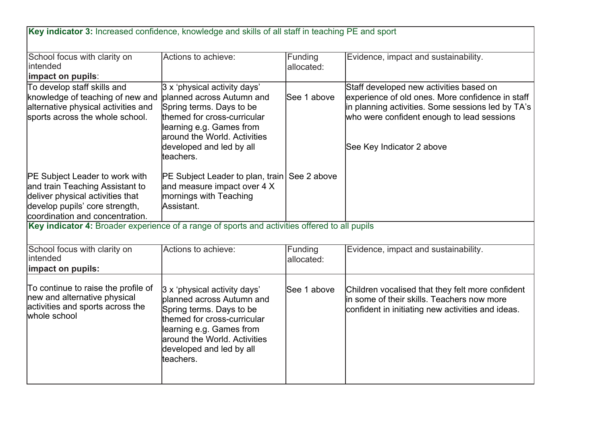| Key indicator 3: Increased confidence, knowledge and skills of all staff in teaching PE and sport                                                                                 |                                                                                                                                                                                                                            |                       |                                                                                                                                                                                                                             |
|-----------------------------------------------------------------------------------------------------------------------------------------------------------------------------------|----------------------------------------------------------------------------------------------------------------------------------------------------------------------------------------------------------------------------|-----------------------|-----------------------------------------------------------------------------------------------------------------------------------------------------------------------------------------------------------------------------|
| School focus with clarity on<br>lintended<br>impact on pupils:                                                                                                                    | Actions to achieve:                                                                                                                                                                                                        | Funding<br>allocated: | Evidence, impact and sustainability.                                                                                                                                                                                        |
| To develop staff skills and<br>knowledge of teaching of new and<br>alternative physical activities and<br>sports across the whole school.                                         | 3 x 'physical activity days'<br>planned across Autumn and<br>Spring terms. Days to be<br>themed for cross-curricular<br>learning e.g. Games from<br>around the World. Activities<br>developed and led by all<br>lteachers. | See 1 above           | Staff developed new activities based on<br>experience of old ones. More confidence in staff<br>in planning activities. Some sessions led by TA's<br>who were confident enough to lead sessions<br>See Key Indicator 2 above |
| <b>PE Subject Leader to work with</b><br>and train Teaching Assistant to<br>deliver physical activities that<br>develop pupils' core strength,<br>coordination and concentration. | PE Subject Leader to plan, train See 2 above<br>and measure impact over 4 X<br>mornings with Teaching<br>Assistant.                                                                                                        |                       |                                                                                                                                                                                                                             |
| Key indicator 4: Broader experience of a range of sports and activities offered to all pupils                                                                                     |                                                                                                                                                                                                                            |                       |                                                                                                                                                                                                                             |
| School focus with clarity on<br>intended<br>impact on pupils:                                                                                                                     | Actions to achieve:                                                                                                                                                                                                        | Funding<br>allocated: | Evidence, impact and sustainability.                                                                                                                                                                                        |
| To continue to raise the profile of<br>new and alternative physical<br>activities and sports across the<br>whole school                                                           | 3 x 'physical activity days'<br>planned across Autumn and<br>Spring terms. Days to be<br>themed for cross-curricular<br>learning e.g. Games from<br>laround the World. Activities<br>developed and led by all<br>teachers. | See 1 above           | Children vocalised that they felt more confident<br>in some of their skills. Teachers now more<br>confident in initiating new activities and ideas.                                                                         |